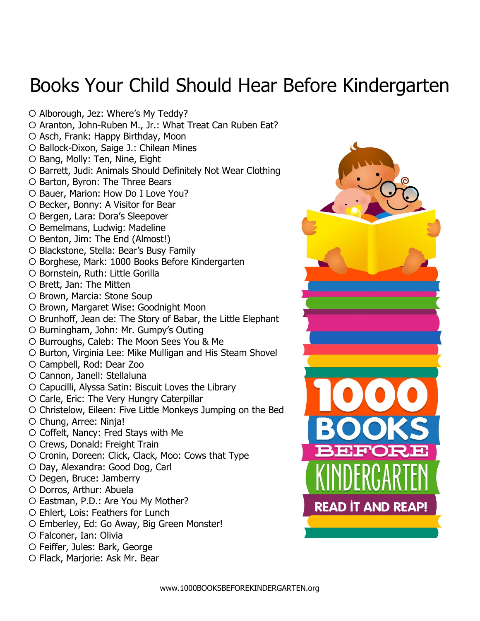## Books Your Child Should Hear Before Kindergarten

O Alborough, Jez: Where's My Teddy?

- O Aranton, John-Ruben M., Jr.: What Treat Can Ruben Eat?
- O Asch, Frank: Happy Birthday, Moon
- O Ballock-Dixon, Saige J.: Chilean Mines
- $\circ$  Bang, Molly: Ten, Nine, Eight
- O Barrett, Judi: Animals Should Definitely Not Wear Clothing
- O Barton, Byron: The Three Bears
- O Bauer, Marion: How Do I Love You?
- O Becker, Bonny: A Visitor for Bear
- O Bergen, Lara: Dora's Sleepover
- O Bemelmans, Ludwig: Madeline
- O Benton, Jim: The End (Almost!)
- Blackstone, Stella: Bear's Busy Family
- O Borghese, Mark: 1000 Books Before Kindergarten
- O Bornstein, Ruth: Little Gorilla
- O Brett, Jan: The Mitten
- O Brown, Marcia: Stone Soup
- O Brown, Margaret Wise: Goodnight Moon
- O Brunhoff, Jean de: The Story of Babar, the Little Elephant
- O Burningham, John: Mr. Gumpy's Outing
- O Burroughs, Caleb: The Moon Sees You & Me
- O Burton, Virginia Lee: Mike Mulligan and His Steam Shovel
- Campbell, Rod: Dear Zoo
- Cannon, Janell: Stellaluna
- Capucilli, Alyssa Satin: Biscuit Loves the Library
- Carle, Eric: The Very Hungry Caterpillar
- Christelow, Eileen: Five Little Monkeys Jumping on the Bed
- Chung, Arree: Ninja!
- Coffelt, Nancy: Fred Stays with Me
- Crews, Donald: Freight Train
- Cronin, Doreen: Click, Clack, Moo: Cows that Type
- O Day, Alexandra: Good Dog, Carl
- Degen, Bruce: Jamberry
- Dorros, Arthur: Abuela
- Eastman, P.D.: Are You My Mother?
- O Ehlert, Lois: Feathers for Lunch
- Emberley, Ed: Go Away, Big Green Monster!
- Falconer, Ian: Olivia
- Feiffer, Jules: Bark, George
- O Flack, Marjorie: Ask Mr. Bear

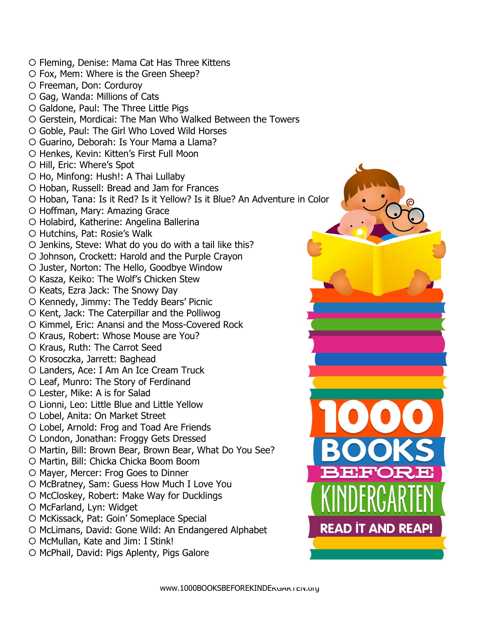- Fleming, Denise: Mama Cat Has Three Kittens Fox, Mem: Where is the Green Sheep? Freeman, Don: Corduroy Gag, Wanda: Millions of Cats Galdone, Paul: The Three Little Pigs Gerstein, Mordicai: The Man Who Walked Between the Towers Goble, Paul: The Girl Who Loved Wild Horses Guarino, Deborah: Is Your Mama a Llama? O Henkes, Kevin: Kitten's First Full Moon O Hill, Eric: Where's Spot O Ho, Minfong: Hush!: A Thai Lullaby O Hoban, Russell: Bread and Jam for Frances O Hoban, Tana: Is it Red? Is it Yellow? Is it Blue? An Adventure in Color O Hoffman, Mary: Amazing Grace O Holabird, Katherine: Angelina Ballerina Hutchins, Pat: Rosie's Walk  $\circ$  Jenkins, Steve: What do you do with a tail like this? O Johnson, Crockett: Harold and the Purple Crayon O Juster, Norton: The Hello, Goodbye Window O Kasza, Keiko: The Wolf's Chicken Stew  $\circ$  Keats, Ezra Jack: The Snowy Day  $\circ$  Kennedy, Jimmy: The Teddy Bears' Picnic O Kent, Jack: The Caterpillar and the Polliwog O Kimmel, Eric: Anansi and the Moss-Covered Rock O Kraus, Robert: Whose Mouse are You? O Kraus, Ruth: The Carrot Seed O Krosoczka, Jarrett: Baghead Landers, Ace: I Am An Ice Cream Truck Leaf, Munro: The Story of Ferdinand Lester, Mike: A is for Salad Lionni, Leo: Little Blue and Little Yellow Lobel, Anita: On Market Street Lobel, Arnold: Frog and Toad Are Friends London, Jonathan: Froggy Gets Dressed O Martin, Bill: Brown Bear, Brown Bear, What Do You See? O Martin, Bill: Chicka Chicka Boom Boom O Mayer, Mercer: Frog Goes to Dinner O McBratney, Sam: Guess How Much I Love You O McCloskey, Robert: Make Way for Ducklings O McFarland, Lyn: Widget O McKissack, Pat: Goin' Someplace Special **READ IT AND REAP!** O McLimans, David: Gone Wild: An Endangered Alphabet O McMullan, Kate and Jim: I Stink!
	- O McPhail, David: Pigs Aplenty, Pigs Galore